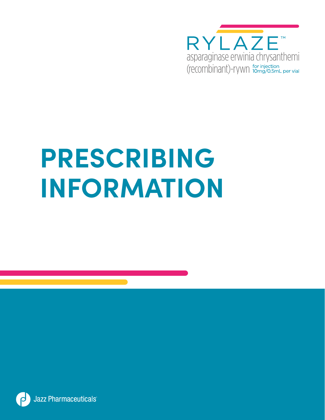

# **PRESCRIBING INFORMATION**

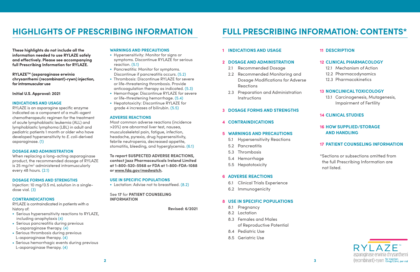# **HIGHLIGHTS OF PRESCRIBING INFORMATION**

**These highlights do not include all the information needed to use RYLAZE safely and effectively. Please see accompanying full Prescribing Information for RYLAZE.** 

**RYLAZETM (asparaginase erwinia chrysanthemi (recombinant)-rywn) injection, for intramuscular use** 

**Initial U.S. Approval: 2021**

# **INDICATIONS AND USAGE**

RYLAZE is an asparagine specific enzyme indicated as a component of a multi-agent chemotherapeutic regimen for the treatment of acute lymphoblastic leukemia (ALL) and lymphoblastic lymphoma (LBL) in adult and pediatric patients 1 month or older who have developed hypersensitivity to *E. coli*-derived asparaginase. [\(1\)](#page-2-0)

#### **DOSAGE AND ADMINISTRATION**

When replacing a long-acting asparaginase product, the recommended dosage of RYLAZE is 25 mg/m<sup>2</sup> administered intramuscularly every 48 hours. [\(2.1\)](#page-2-0)

#### **DOSAGE FORMS AND STRENGTHS**

Injection: 10 mg/0.5 mL solution in a singledose vial. [\(3\)](#page-3-0)

# **CONTRAINDICATIONS**

RYLAZE is contraindicated in patients with a history of:

- Serious hypersensitivity reactions to RYLAZE, including anaphylaxis [\(4\)](#page-3-0)
- Serious pancreatitis during previous L-asparaginase therapy. [\(4\)](#page-3-0)
- Serious thrombosis during previous L-asparaginase therapy. [\(4\)](#page-3-0)
- Serious hemorrhagic events during previous L-asparaginase therapy. [\(4\)](#page-3-0)
- 2.1 Recommended Dosage
- 2.2 Recommended Monitoring and Dosage Modifications for Adverse Reactions
- 2.3 Preparation and Administration **Instructions**

#### **WARNINGS AND PRECAUTIONS**

- Hypersensitivity: Monitor for signs or symptoms. Discontinue RYLAZE for serious reaction. [\(5.1\)](#page-3-0)
- Pancreatitis: Monitor for symptoms. Discontinue if pancreatitis occurs. [\(5.2\)](#page-3-0)
- Thrombosis: Discontinue RYLAZE for severe or life-threatening thrombosis. Provide anticoagulation therapy as indicated. [\(5.3\)](#page-4-0)
- Hemorrhage: Discontinue RYLAZE for severe or life-threatening hemorrhage. [\(5.4\)](#page-4-0)
- Hepatotoxicity: Discontinue RYLAZE for grade 4 increases of bilirubin. [\(5.5\)](#page-4-0)

#### **ADVERSE REACTIONS**

Most common adverse reactions (incidence >20%) are abnormal liver test, nausea, musculoskeletal pain, fatigue, infection, headache, pyrexia, drug hypersensitivity, febrile neutropenia, decreased appetite, stomatitis, bleeding, and hyperglycemia. [\(6.1\)](#page-4-0)

**To report SUSPECTED ADVERSE REACTIONS, contact Jazz Pharmaceuticals Ireland Limited at 1-800-520-5568 or FDA at 1-800-FDA-1088 or www.fda.gov/medwatch.** 

# **USE IN SPECIFIC POPULATIONS**

• Lactation: Advise not to breastfeed.  $(8.2)$ 

#### See **17** for **PATIENT COUNSELING INFORMATION**

**Revised: 6/2021**

# **1 [INDICATIONS AND USAGE](#page-2-0)**

# **2 [DOSAGE AND ADMINISTRATION](#page-2-0)**

# **3 [DOSAGE FORMS AND STRENGTHS](#page-3-0)**

# **4 [CONTRAINDICATIONS](#page-3-0)**

# **5 [WARNINGS AND PRECAUTIONS](#page-3-0)**

- 5.1 Hypersensitivity Reactions
- 5.2 Pancreatitis
- 5.3 Thrombosis
- 5.4 Hemorrhage
- 5.5 Hepatotoxicity

# **6 [ADVERSE REACTIONS](#page-4-0)**

- 6.1 Clinical Trials Experience
- 6.2 Immunogenicity

# **8 [USE IN SPECIFIC POPULATIONS](#page-6-0)**

- 8.1 Pregnancy
- 8.2 Lactation
- 8.3 Females and Males of Reproductive Potential
- 8.4 Pediatric Use
- 8.5 Geriatric Use

# **11 [DESCRIPTION](#page-7-0)**

# **12 [CLINICAL PHARMACOLOGY](#page-7-0)**

- 12.1 Mechanism of Action
- 12.2 Pharmacodynamics
- 12.3 Pharmacokinetics

# **13 [NONCLINICAL TOXICOLOGY](#page-8-0)**

13.1 Carcinogenesis, Mutagenesis, Impairment of Fertility

# **14 [CLINICAL STUDIES](#page-8-0)**

# **16 [HOW SUPPLIED/STORAGE](#page-9-0) [AND HANDLING](#page-9-0)**

# **17 [PATIENT COUNSELING INFORMATION](#page-9-0)**

\*Sections or subsections omitted from the full Prescribing Information are not listed.



# **FULL PRESCRIBING INFORMATION: CONTENTS\***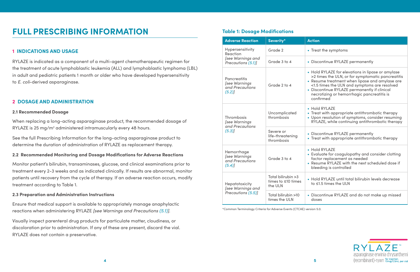|  | <b>Adverse Reaction</b>                                                 | Severity*                                            | <b>Action</b>                                                         |
|--|-------------------------------------------------------------------------|------------------------------------------------------|-----------------------------------------------------------------------|
|  | Hypersensitivity<br>Reaction<br>[see Warnings and<br>Precautions (5.1)] | Grade 2                                              | $\bullet$ Trea                                                        |
|  |                                                                         | Grade 3 to 4                                         | • Disc                                                                |
|  | <b>Pancreatitis</b><br>[see Warnings<br>and Precautions<br>(5.2)        | Grade 2 to 4                                         | • Hold<br>$>2$ till<br>• Resu<br>< 1.5<br><b>Disc</b><br>necr<br>conf |
|  | Thrombosis<br>[see Warnings<br>and Precautions<br>(5.3)                 | Uncomplicated<br>thrombosis                          | • Hold<br>• Trea<br>• Upor<br><b>RYLA</b>                             |
|  |                                                                         | Severe or<br>life-threatening<br>thrombosis          | • Disc<br>$\bullet$ Trea                                              |
|  | Hemorrhage<br>[see Warnings<br>and Precautions<br>$(5.4)$ ]             | Grade 3 to 4                                         | $\bullet$ Hold<br>• Evali<br>facto<br>• Resu<br>blee                  |
|  | Hepatotoxicity<br>[see Warnings and<br>Precautions (5.5)]               | Total bilirubin > 3<br>times to ≤10 times<br>the ULN | $\bullet$ Hold<br>to $\leq 1$                                         |
|  |                                                                         | Total bilirubin >10<br>times the ULN                 | <b>Disc</b><br>dose                                                   |

| <u>wilivwilivii</u>                                              |                                                                                                                                                                                                                                                                                                                     |  |  |  |
|------------------------------------------------------------------|---------------------------------------------------------------------------------------------------------------------------------------------------------------------------------------------------------------------------------------------------------------------------------------------------------------------|--|--|--|
| Severity*                                                        | <b>Action</b>                                                                                                                                                                                                                                                                                                       |  |  |  |
| Grade 2                                                          | • Treat the symptoms                                                                                                                                                                                                                                                                                                |  |  |  |
| Grade 3 to 4                                                     | • Discontinue RYLAZE permanently                                                                                                                                                                                                                                                                                    |  |  |  |
| Grade 2 to 4                                                     | • Hold RYLAZE for elevations in lipase or amylase<br>>2 times the ULN, or for symptomatic pancreatitis<br>• Resume treatment when lipase and amylase are<br><1.5 times the ULN and symptoms are resolved<br>• Discontinue RYLAZE permanently if clinical<br>necrotizing or hemorrhagic pancreatitis is<br>confirmed |  |  |  |
| Uncomplicated<br>thrombosis                                      | • Hold RYLAZE<br>• Treat with appropriate antithrombotic therapy<br>• Upon resolution of symptoms, consider resuming<br>RYLAZE, while continuing antithrombotic therapy                                                                                                                                             |  |  |  |
| Severe or<br>life-threatening<br>thrombosis                      | • Discontinue RYLAZE permanently<br>• Treat with appropriate antithrombotic therapy                                                                                                                                                                                                                                 |  |  |  |
| Grade 3 to 4                                                     | • Hold RYLAZE<br>• Evaluate for coagulopathy and consider clotting<br>factor replacement as needed<br>• Resume RYLAZE with the next scheduled dose if<br>bleeding is controlled                                                                                                                                     |  |  |  |
| Total bilirubin >3<br>$\frac{1}{2}$ increased to $\sim 10$ times | • Hold RYLAZE until total bilirubin levels decrease                                                                                                                                                                                                                                                                 |  |  |  |

When replacing a long-acting asparaginase product, the recommended dosage of RYLAZE is 25 mg/m<sup>2</sup> administered intramuscularly every 48 hours.

to ≤1.5 times the ULN



• Discontinue RYLAZE and do not make up missed

doses

# **Table 1: Dosage Modifications**

\*Common Terminology Criteria for Adverse Events (CTCAE) version 5.0.

# **1 INDICATIONS AND USAGE**

RYLAZE is indicated as a component of a multi-agent chemotherapeutic regimen for the treatment of acute lymphoblastic leukemia (ALL) and lymphoblastic lymphoma (LBL) in adult and pediatric patients 1 month or older who have developed hypersensitivity to *E. coli*-derived asparaginase.

# **2 DOSAGE AND ADMINISTRATION**

#### **2.1 Recommended Dosage**

See the full Prescribing Information for the long-acting asparaginase product to determine the duration of administration of RYLAZE as replacement therapy.

#### **2.2 Recommended Monitoring and Dosage Modifications for Adverse Reactions**

Monitor patient's bilirubin, transaminases, glucose, and clinical examinations prior to treatment every 2-3 weeks and as indicated clinically. If results are abnormal, monitor patients until recovery from the cycle of therapy. If an adverse reaction occurs, modify treatment according to Table 1.

# **2.3 Preparation and Administration Instructions**

Ensure that medical support is available to appropriately manage anaphylactic reactions when administering RYLAZE *[see Warnings and Precautions [\(5.1\)\]](#page-3-0)*.

Visually inspect parenteral drug products for particulate matter, cloudiness, or discoloration prior to administration. If any of these are present, discard the vial. RYLAZE does not contain a preservative.

# <span id="page-2-0"></span>**FULL PRESCRIBING INFORMATION**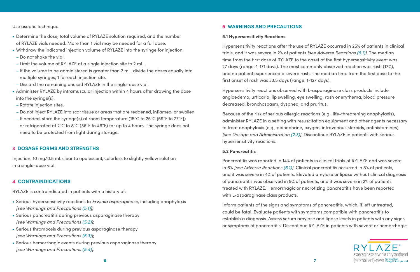<span id="page-3-0"></span>Use aseptic technique.

- Determine the dose, total volume of RYLAZE solution required, and the number of RYLAZE vials needed. More than 1 vial may be needed for a full dose.
- Withdraw the indicated injection volume of RYLAZE into the syringe for injection.
- Do not shake the vial.
- Limit the volume of RYLAZE at a single injection site to 2 mL.
- If the volume to be administered is greater than 2 mL, divide the doses equally into multiple syringes, 1 for each injection site.
- Discard the remaining unused RYLAZE in the single-dose vial.
- Administer RYLAZE by intramuscular injection within 4 hours after drawing the dose into the syringe(s).
- Rotate injection sites.
- Do not inject RYLAZE into scar tissue or areas that are reddened, inflamed, or swollen
- If needed, store the syringe(s) at room temperature (15°C to 25°C [59°F to 77°F]) or refrigerated at 2°C to 8°C (36°F to 46°F) for up to 4 hours. The syringe does not need to be protected from light during storage.

# **3 DOSAGE FORMS AND STRENGTHS**

Injection: 10 mg/0.5 mL clear to opalescent, colorless to slightly yellow solution in a single-dose vial.

# **4 CONTRAINDICATIONS**

RYLAZE is contraindicated in patients with a history of:

- Serious hypersensitivity reactions to *Erwinia asparaginase*, including anaphylaxis *[see Warnings and Precautions (5.1)]*;
- Serious pancreatitis during previous asparaginase therapy *[see Warnings and Precautions (5.2)]*;
- Serious thrombosis during previous asparaginase therapy *[see Warnings and Precautions [\(5.3\)\]](#page-4-0)*;
- Serious hemorrhagic events during previous asparaginase therapy *[see Warnings and Precautions [\(5.4\)](#page-4-0)]*.

# **5 WARNINGS AND PRECAUTIONS**

# **5.1 Hypersensitivity Reactions**

Hypersensitivity reactions after the use of RYLAZE occurred in 25% of patients in clinical trials, and it was severe in 2% of patients *[see Adverse Reactions [\(6.1\)](#page-4-0)]*. The median time from the first dose of RYLAZE to the onset of the first hypersensitivity event was 27 days (range: 1-171 days). The most commonly observed reaction was rash (17%), and no patient experienced a severe rash. The median time from the first dose to the first onset of rash was 33.5 days (range: 1-127 days).

Hypersensitivity reactions observed with L-asparaginase class products include angioedema, urticaria, lip swelling, eye swelling, rash or erythema, blood pressure decreased, bronchospasm, dyspnea, and pruritus.

Because of the risk of serious allergic reactions (e.g., life-threatening anaphylaxis), administer RYLAZE in a setting with resuscitation equipment and other agents necessary to treat anaphylaxis (e.g., epinephrine, oxygen, intravenous steroids, antihistamines) *[see Dosage and Administration [\(2.3\)\]](#page-2-0)*. Discontinue RYLAZE in patients with serious hypersensitivity reactions.

# **5.2 Pancreatitis**

Pancreatitis was reported in 14% of patients in clinical trials of RYLAZE and was severe in 6% *[see Adverse Reactions [\(6.1\)\]](#page-4-0)*. Clinical pancreatitis occurred in 5% of patients, and it was severe in 4% of patients. Elevated amylase or lipase without clinical diagnosis of pancreatitis was observed in 9% of patients, and it was severe in 2% of patients treated with RYLAZE. Hemorrhagic or necrotizing pancreatitis have been reported with L-asparaginase class products.

Inform patients of the signs and symptoms of pancreatitis, which, if left untreated, could be fatal. Evaluate patients with symptoms compatible with pancreatitis to establish a diagnosis. Assess serum amylase and lipase levels in patients with any signs or symptoms of pancreatitis. Discontinue RYLAZE in patients with severe or hemorrhagic

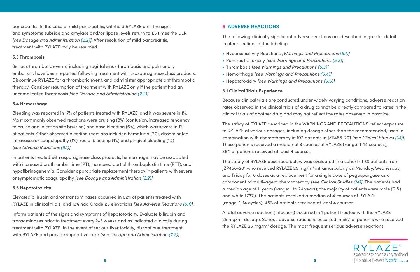

<span id="page-4-0"></span>pancreatitis. In the case of mild pancreatitis, withhold RYLAZE until the signs and symptoms subside and amylase and/or lipase levels return to 1.5 times the ULN *[see Dosage and Administration [\(2.2\)](#page-2-0)]*. After resolution of mild pancreatitis, treatment with RYLAZE may be resumed.

# **5.3 Thrombosis**

Serious thrombotic events, including sagittal sinus thrombosis and pulmonary embolism, have been reported following treatment with L-asparaginase class products. Discontinue RYLAZE for a thrombotic event, and administer appropriate antithrombotic therapy. Consider resumption of treatment with RYLAZE only if the patient had an uncomplicated thrombosis *[see Dosage and Administration [\(2.2\)](#page-2-0)]*.

# **5.4 Hemorrhage**

Bleeding was reported in 17% of patients treated with RYLAZE, and it was severe in 1%. Most commonly observed reactions were bruising (8%) (contusion, increased tendency to bruise and injection site bruising) and nose bleeding (6%), which was severe in 1% of patients. Other observed bleeding reactions included hematuria (2%), disseminated intravascular coagulopathy (1%), rectal bleeding (1%) and gingival bleeding (1%) *[see Adverse Reactions (6.1)]*.

In patients treated with asparaginase class products, hemorrhage may be associated with increased prothrombin time (PT), increased partial thromboplastin time (PTT), and hypofibrinogenemia. Consider appropriate replacement therapy in patients with severe or symptomatic coagulopathy *[see Dosage and Administration [\(2.2\)](#page-2-0)]*.

# **5.5 Hepatotoxicity**

Elevated bilirubin and/or transaminases occurred in 62% of patients treated with RYLAZE in clinical trials, and 12% had Grade ≥3 elevations *[see Adverse Reactions (6.1)]*.

> A fatal adverse reaction (infection) occurred in 1 patient treated with the RYLAZE 25 mg/m<sup>2</sup> dosage. Serious adverse reactions occurred in 55% of patients who received the RYLAZE 25 mg/m<sup>2</sup> dosage. The most frequent serious adverse reactions

Inform patients of the signs and symptoms of hepatotoxicity. Evaluate bilirubin and transaminases prior to treatment every 2-3 weeks and as indicated clinically during treatment with RYLAZE. In the event of serious liver toxicity, discontinue treatment with RYLAZE and provide supportive care *[see Dosage and Administration [\(2.2\)](#page-2-0)]*.

# **6 ADVERSE REACTIONS**

The following clinically significant adverse reactions are described in greater detail in other sections of the labeling:

- Hypersensitivity Reactions *[Warnings and Precautions [\(5.1\)\]](#page-3-0)*
- Pancreatic Toxicity *[see Warnings and Precautions [\(5.2\)\]](#page-3-0)*
- Thrombosis *[see Warnings and Precautions (5.3)]*
- Hemorrhage *[see Warnings and Precautions (5.4)]*
- Hepatotoxicity *[see Warnings and Precautions (5.5)]*

# **6.1 Clinical Trials Experience**

Because clinical trials are conducted under widely varying conditions, adverse reaction rates observed in the clinical trials of a drug cannot be directly compared to rates in the clinical trials of another drug and may not reflect the rates observed in practice.

The safety of RYLAZE described in the WARNINGS AND PRECAUTIONS reflect exposure to RYLAZE at various dosages, including dosage other than the recommended, used in combination with chemotherapy in 102 patients in JZP458-201 *[see Clinical Studies [\(14\)\]](#page-8-0)*. These patients received a median of 3 courses of RYLAZE (range: 1-14 courses); 38% of patients received at least 4 courses.

The safety of RYLAZE described below was evaluated in a cohort of 33 patients from JZP458-201 who received RYLAZE 25 mg/m2 intramuscularly on Monday, Wednesday, and Friday for 6 doses as a replacement for a single dose of pegaspargase as a component of multi-agent chemotherapy *[see Clinical Studies [\(14\)\]](#page-8-0)*. The patients had a median age of 11 years (range: 1 to 24 years); the majority of patients were male (51%) and white (73%). The patients received a median of 4 courses of RYLAZE (range: 1-14 cycles); 48% of patients received at least 4 courses.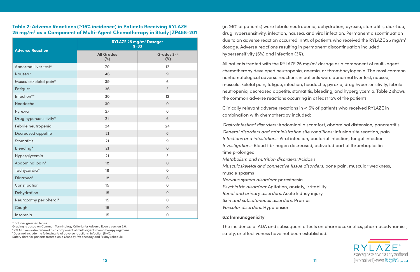

# **Table 2: Adverse Reactions (≥15% incidence) in Patients Receiving RYLAZE 25 mg/m2 as a Component of Multi-Agent Chemotherapy in Study JZP458-201**

\*Includes grouped terms.

Grading is based on Common Terminology Criteria for Adverse Events version 5.0.

aRYLAZE was administered as a component of multi-agent chemotherapy regimens.

bDoes not include the following fatal adverse reactions: infection (N=1).

Safety data for patients treated on a Monday, Wednesday and Friday schedule.

(in ≥5% of patients) were febrile neutropenia, dehydration, pyrexia, stomatitis, diarrhea, drug hypersensitivity, infection, nausea, and viral infection. Permanent discontinuation due to an adverse reaction occurred in 9% of patients who received the RYLAZE 25 mg/m2 dosage. Adverse reactions resulting in permanent discontinuation included hypersensitivity (6%) and infection (3%).

All patients treated with the RYLAZE 25 mg/m<sup>2</sup> dosage as a component of multi-agent chemotherapy developed neutropenia, anemia, or thrombocytopenia. The most common nonhematological adverse reactions in patients were abnormal liver test, nausea, musculoskeletal pain, fatigue, infection, headache, pyrexia, drug hypersensitivity, febrile neutropenia, decreased appetite, stomatitis, bleeding, and hyperglycemia. Table 2 shows the common adverse reactions occurring in at least 15% of the patients.

Clinically relevant adverse reactions in <15% of patients who received RYLAZE in combination with chemotherapy included:

*Gastrointestinal disorders:* Abdominal discomfort, abdominal distension, pancreatitis *General disorders and administration site conditions:* Infusion site reaction, pain *Infections and infestations:* Viral infection, bacterial infection, fungal infection *Investigations:* Blood fibrinogen decreased, activated partial thromboplastin time prolonged

*Metabolism and nutrition disorders:* Acidosis *Musculoskeletal and connective tissue disorders:* bone pain, muscular weakness, muscle spasms

*Nervous system disorders:* paresthesia *Psychiatric disorders:* Agitation, anxiety, irritability *Renal and urinary disorders:* Acute kidney injury *Skin and subcutaneous disorders:* Pruritus *Vascular disorders:* Hypotension

# **6.2 Immunogenicity**

The incidence of ADA and subsequent effects on pharmacokinetics, pharmacodynamics, safety, or effectiveness have not been established.

|                         | RYLAZE 25 mg/m <sup>2</sup> Dosage <sup>a</sup><br>$N = 33$ |                      |  |
|-------------------------|-------------------------------------------------------------|----------------------|--|
| <b>Adverse Reaction</b> | <b>All Grades</b><br>$(\%)$                                 | Grades 3-4<br>$(\%)$ |  |
| Abnormal liver test*    | 70                                                          | 12                   |  |
| Nausea*                 | 46                                                          | 9                    |  |
| Musculoskeletal pain*   | 39                                                          | 6                    |  |
| Fatigue*                | 36                                                          | $\overline{3}$       |  |
| Infection <sup>*b</sup> | 30                                                          | 12                   |  |
| Headache                | 30                                                          | $\overline{O}$       |  |
| Pyrexia                 | 27                                                          | 6                    |  |
| Drug hypersensitivity*  | 24                                                          | 6                    |  |
| Febrile neutropenia     | 24                                                          | 24                   |  |
| Decreased appetite      | 21                                                          | 6                    |  |
| <b>Stomatitis</b>       | 21                                                          | $\overline{9}$       |  |
| Bleeding*               | 21                                                          | $\overline{0}$       |  |
| Hyperglycemia           | 21                                                          | 3                    |  |
| Abdominal pain*         | 18                                                          | $\overline{O}$       |  |
| Tachycardia*            | 18                                                          | $\mathsf{O}\xspace$  |  |
| Diarrhea*               | 18                                                          | 6                    |  |
| Constipation            | 15                                                          | $\mathsf{O}$         |  |
| Dehydration             | $15\,$                                                      | $\mathsf 9$          |  |
| Neuropathy peripheral*  | 15                                                          | $\mathsf O$          |  |
| Cough                   | 15                                                          | $\mathsf{O}$         |  |
| Insomnia                | 15                                                          | $\mathsf{O}\xspace$  |  |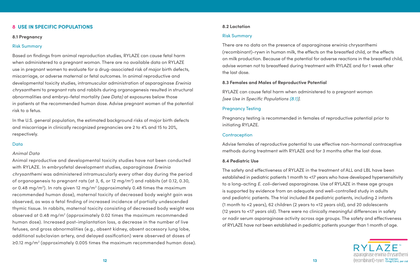

#### **8.2 Lactation**

#### Risk Summary

There are no data on the presence of asparaginase erwinia chrysanthemi (recombinant)-rywn in human milk, the effects on the breastfed child, or the effects on milk production. Because of the potential for adverse reactions in the breastfed child, advise women not to breastfeed during treatment with RYLAZE and for 1 week after the last dose.

# **8.3 Females and Males of Reproductive Potential**

RYLAZE can cause fetal harm when administered to a pregnant woman *[see Use in Specific Populations (8.1)]*.

#### Pregnancy Testing

Pregnancy testing is recommended in females of reproductive potential prior to initiating RYLAZE.

#### **Contraception**

Advise females of reproductive potential to use effective non-hormonal contraceptive methods during treatment with RYLAZE and for 3 months after the last dose.

#### **8.4 Pediatric Use**

The safety and effectiveness of RYLAZE in the treatment of ALL and LBL have been established in pediatric patients 1 month to <17 years who have developed hypersensitivity to a long-acting *E. coli*-derived asparaginase. Use of RYLAZE in these age groups is supported by evidence from an adequate and well-controlled study in adults and pediatric patients. The trial included 84 pediatric patients, including 2 infants (1 month to <2 years), 62 children (2 years to <12 years old), and 20 adolescents (12 years to <17 years old). There were no clinically meaningful differences in safety or nadir serum asparaginase activity across age groups. The safety and effectiveness of RYLAZE have not been established in pediatric patients younger than 1 month of age.

Animal reproductive and developmental toxicity studies have not been conducted with RYLAZE. In embryofetal development studies, asparaginase *Erwinia chrysanthemi* was administered intramuscularly every other day during the period of organogenesis to pregnant rats (at 3, 6, or 12 mg/m2 ) and rabbits (at 0.12, 0.30, or 0.48 mg/m<sup>2</sup>). In rats given 12 mg/m<sup>2</sup> (approximately 0.48 times the maximum recommended human dose), maternal toxicity of decreased body weight gain was observed, as was a fetal finding of increased incidence of partially undescended thymic tissue. In rabbits, maternal toxicity consisting of decreased body weight was observed at 0.48 mg/m<sup>2</sup> (approximately 0.02 times the maximum recommended human dose). Increased post-implantation loss, a decrease in the number of live fetuses, and gross abnormalities (e.g., absent kidney, absent accessory lung lobe, additional subclavian artery, and delayed ossification) were observed at doses of ≥0.12 mg/m<sup>2</sup> (approximately 0.005 times the maximum recommended human dose).

# <span id="page-6-0"></span>**8 USE IN SPECIFIC POPULATIONS**

#### **8.1 Pregnancy**

#### Risk Summary

Based on findings from animal reproduction studies, RYLAZE can cause fetal harm when administered to a pregnant woman. There are no available data on RYLAZE use in pregnant women to evaluate for a drug-associated risk of major birth defects, miscarriage, or adverse maternal or fetal outcomes. In animal reproductive and developmental toxicity studies, intramuscular administration of asparaginase *Erwinia chrysanthemi* to pregnant rats and rabbits during organogenesis resulted in structural abnormalities and embryo-fetal mortality *(see Data)* at exposures below those in patients at the recommended human dose. Advise pregnant women of the potential risk to a fetus.

In the U.S. general population, the estimated background risks of major birth defects and miscarriage in clinically recognized pregnancies are 2 to 4% and 15 to 20%, respectively.

#### **Data**

#### *Animal Data*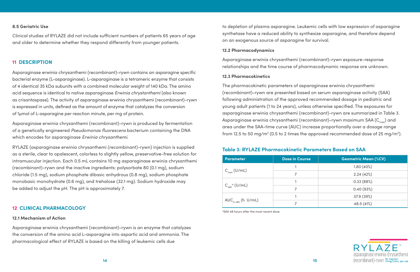

to depletion of plasma asparagine. Leukemic cells with low expression of asparagine synthetase have a reduced ability to synthesize asparagine, and therefore depend on an exogenous source of asparagine for survival.

The pharmacokinetic parameters of asparaginase erwinia chrysanthemi (recombinant)-rywn are presented based on serum asparaginase activity (SAA) following administration of the approved recommended dosage in pediatric and young adult patients (1 to 24 years), unless otherwise specified. The exposures for asparaginase erwinia chrysanthemi (recombinant)-rywn are summarized in Table 3. Asparaginase erwinia chrysanthemi (recombinant)-rywn maximum SAA ( $C_{\text{max}}$ ) and area under the SAA-time curve (AUC) increase proportionally over a dosage range from 12.5 to 50 mg/m<sup>2</sup> (0.5 to 2 times the approved recommended dose of 25 mg/m<sup>2</sup>).

#### **12.2 Pharmacodynamics**

Asparaginase erwinia chrysanthemi (recombinant)-rywn exposure-response relationships and the time course of pharmacodynamic response are unknown.

#### **12.3 Pharmacokinetics**

#### <span id="page-7-0"></span>**8.5 Geriatric Use**

Clinical studies of RYLAZE did not include sufficient numbers of patients 65 years of age and older to determine whether they respond differently from younger patients.

# **11 DESCRIPTION**

Asparaginase erwinia chrysanthemi (recombinant)-rywn contains an asparagine specific bacterial enzyme (L-asparaginase). L-asparaginase is a tetrameric enzyme that consists of 4 identical 35 kDa subunits with a combined molecular weight of 140 kDa. The amino acid sequence is identical to native asparaginase *Erwinia chrystanthemi* (also known as crisantaspase). The activity of asparaginase erwinia chrysanthemi (recombinant)-rywn is expressed in units, defined as the amount of enzyme that catalyzes the conversion of 1µmol of L-asparagine per reaction minute, per mg of protein.

Asparaginase erwinia chrysanthemi (recombinant)-rywn is produced by fermentation of a genetically engineered *Pseudomonas fluorescens* bacterium containing the DNA which encodes for asparaginase *Erwinia chrysanthemi*.

RYLAZE (asparaginase erwinia chrysanthemi (recombinant)-rywn) injection is supplied as a sterile, clear to opalescent, colorless to slightly yellow, preservative-free solution for intramuscular injection. Each 0.5 mL contains 10 mg asparaginase erwinia chrysanthemi (recombinant)-rywn and the inactive ingredients: polysorbate 80 (0.1 mg), sodium chloride (1.5 mg), sodium phosphate dibasic anhydrous (0.8 mg), sodium phosphate monobasic monohydrate (0.6 mg), and trehalose (32.1 mg). Sodium hydroxide may be added to adjust the pH. The pH is approximately 7.

# **12 CLINICAL PHARMACOLOGY**

#### **12.1 Mechanism of Action**

Asparaginase erwinia chrysanthemi (recombinant)-rywn is an enzyme that catalyzes the conversion of the amino acid L-asparagine into aspartic acid and ammonia. The pharmacological effect of RYLAZE is based on the killing of leukemic cells due

aSAA 48 hours after the most recent dose.

# **Table 3: RYLAZE Pharmacokinetic Parameters Based on SAA**

| <b>Parameter</b>                       | <b>Dose in Course</b> | <b>Geometric Mean (%CV)</b> |
|----------------------------------------|-----------------------|-----------------------------|
|                                        |                       | 1.80(40%)                   |
| $C_{\text{max}}(U/mL)$                 | 7                     | 2.24(42%)                   |
|                                        |                       | 0.33(88%)                   |
| $C_{\mathsf{48h}}^{\ \ \alpha}$ (U/mL) |                       | 0.40(93%)                   |
|                                        |                       | 37.9 (39%)                  |
| $AUC_{0-48h}$ (h U/mL)                 |                       | 48.5 (41%)                  |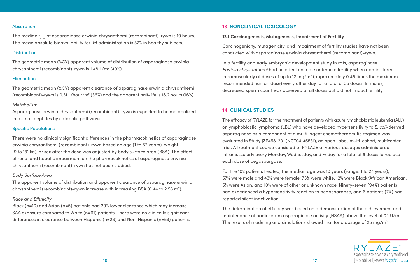

#### **13 NONCLINICAL TOXICOLOGY**

# **13.1 Carcinogenesis, Mutagenesis, Impairment of Fertility**

Carcinogenicity, mutagenicity, and impairment of fertility studies have not been conducted with asparaginase erwinia chrysanthemi (recombinant)-rywn.

In a fertility and early embryonic development study in rats, asparaginase *Erwinia chrysanthemi* had no effect on male or female fertility when administered intramuscularly at doses of up to 12 mg/m<sup>2</sup> (approximately 0.48 times the maximum recommended human dose) every other day for a total of 35 doses. In males, decreased sperm count was observed at all doses but did not impact fertility.

# **14 CLINICAL STUDIES**

The determination of efficacy was based on a demonstration of the achievement and maintenance of nadir serum asparaginase activity (NSAA) above the level of 0.1 U/mL. The results of modeling and simulations showed that for a dosage of 25 mg/m<sup>2</sup>

The efficacy of RYLAZE for the treatment of patients with acute lymphoblastic leukemia (ALL) or lymphoblastic lymphoma (LBL) who have developed hypersensitivity to *E. coli*-derived asparaginase as a component of a multi-agent chemotherapeutic regimen was evaluated in Study JZP458-201 (NCT04145531), an open-label, multi-cohort, multicenter trial. A treatment course consisted of RYLAZE at various dosages administered intramuscularly every Monday, Wednesday, and Friday for a total of 6 doses to replace each dose of pegaspargase.

The median  $t_{\text{max}}$  of asparaginase erwinia chrysanthemi (recombinant)-rywn is 10 hours. The mean absolute bioavailability for IM administration is 37% in healthy subjects.

#### **Distribution**

The geometric mean (%CV) apparent volume of distribution of asparaginase erwinia chrysanthemi (recombinant)-rywn is 1.48 L/m<sup>2</sup> (49%).

#### **Elimination**

The geometric mean (%CV) apparent clearance of asparaginase erwinia chrysanthemi (recombinant)-rywn is 0.31 L/hour/m<sup>2</sup> (36%) and the apparent half-life is 18.2 hours (16%).

> For the 102 patients treated, the median age was 10 years (range: 1 to 24 years); 57% were male and 43% were female; 73% were white, 12% were Black/African American, 5% were Asian, and 10% were of other or unknown race. Ninety-seven (94%) patients had experienced a hypersensitivity reaction to pegaspargase, and 6 patients (7%) had reported silent inactivation.

The apparent volume of distribution and apparent clearance of asparaginase erwinia chrysanthemi (recombinant)-rywn increase with increasing BSA (0.44 to 2.53 m<sup>2</sup>).

#### <span id="page-8-0"></span>Absorption

#### *Metabolism*

Asparaginase erwinia chrysanthemi (recombinant)-rywn is expected to be metabolized into small peptides by catabolic pathways.

# Specific Populations

There were no clinically significant differences in the pharmacokinetics of asparaginase erwinia chrysanthemi (recombinant)-rywn based on age (1 to 52 years), weight (9 to 131 kg), or sex after the dose was adjusted by body surface area (BSA). The effect of renal and hepatic impairment on the pharmacokinetics of asparaginase erwinia chrysanthemi (recombinant)-rywn has not been studied.

#### *Body Surface Area*

#### *Race and Ethnicity*

Black (n=10) and Asian (n=5) patients had 29% lower clearance which may increase SAA exposure compared to White (n=61) patients. There were no clinically significant differences in clearance between Hispanic (n=28) and Non-Hispanic (n=53) patients.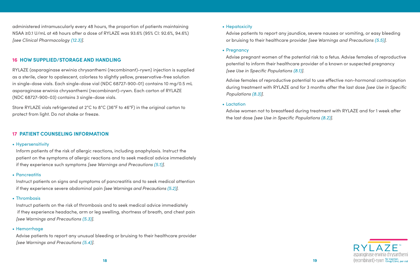

# • Hepatoxicity

 Advise patients to report any jaundice, severe nausea or vomiting, or easy bleeding or bruising to their healthcare provider *[see Warnings and Precautions [\(5.5\)\]](#page-4-0)*.

# • Pregnancy

 Advise pregnant women of the potential risk to a fetus. Advise females of reproductive potential to inform their healthcare provider of a known or suspected pregnancy *[see Use in Specific Populations [\(8.1\)](#page-6-0)]*.

Advise females of reproductive potential to use effective non-hormonal contraception during treatment with RYLAZE and for 3 months after the last dose *[see Use in Specific Populations [\(8.3\)](#page-6-0)]*.

# • Lactation

 Advise women not to breastfeed during treatment with RYLAZE and for 1 week after the last dose *[see Use in Specific Populations [\(8.2\)\]](#page-6-0)*.

<span id="page-9-0"></span>administered intramuscularly every 48 hours, the proportion of patients maintaining NSAA ≥0.1 U/mL at 48 hours after a dose of RYLAZE was 93.6% (95% CI: 92.6%, 94.6%) *[see Clinical Pharmacology [\(12.3\)](#page-7-0)]*.

# **16 HOW SUPPLIED/STORAGE AND HANDLING**

RYLAZE (asparaginase erwinia chrysanthemi (recombinant)-rywn) injection is supplied as a sterile, clear to opalescent, colorless to slightly yellow, preservative-free solution in single-dose vials. Each single-dose vial (NDC 68727-900-01) contains 10 mg/0.5 mL asparaginase erwinia chrysanthemi (recombinant)-rywn. Each carton of RYLAZE (NDC 68727-900-03) contains 3 single-dose vials.

Store RYLAZE vials refrigerated at 2°C to 8°C (36°F to 46°F) in the original carton to protect from light. Do not shake or freeze.

# **17 PATIENT COUNSELING INFORMATION**

# • Hypersensitivity

 Inform patients of the risk of allergic reactions, including anaphylaxis. Instruct the patient on the symptoms of allergic reactions and to seek medical advice immediately if they experience such symptoms *[see Warnings and Precautions [\(5.1\)\]](#page-3-0)*.

# • Pancreatitis

 Instruct patients on signs and symptoms of pancreatitis and to seek medical attention if they experience severe abdominal pain *[see Warnings and Precautions [\(5.2\)](#page-3-0)]*.

# • Thrombosis

 Instruct patients on the risk of thrombosis and to seek medical advice immediately if they experience headache, arm or leg swelling, shortness of breath, and chest pain *[see Warnings and Precautions [\(5.3\)\]](#page-4-0)*.

# • Hemorrhage

 Advise patients to report any unusual bleeding or bruising to their healthcare provider *[see Warnings and Precautions [\(5.4\)](#page-4-0)]*.